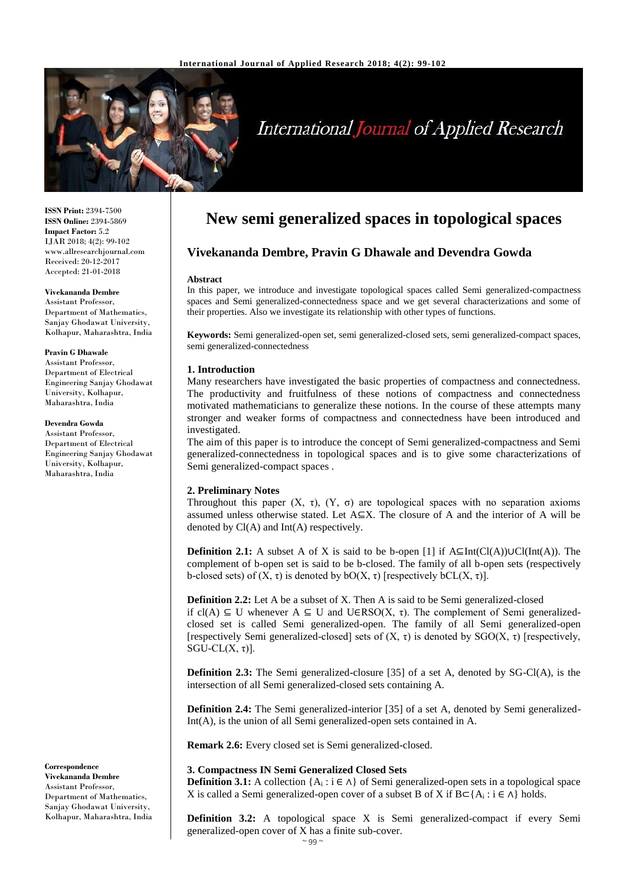

# International Journal of Applied Research

**ISSN Print:** 2394-7500 **ISSN Online:** 2394-5869 **Impact Factor:** 5.2 IJAR 2018; 4(2): 99-102 www.allresearchjournal.com Received: 20-12-2017 Accepted: 21-01-2018

**Vivekananda Dembre** Assistant Professor, Department of Mathematics, Sanjay Ghodawat University, Kolhapur, Maharashtra, India

#### **Pravin G Dhawale**

Assistant Professor, Department of Electrical Engineering Sanjay Ghodawat University, Kolhapur, Maharashtra, India

#### **Devendra Gowda**

Assistant Professor, Department of Electrical Engineering Sanjay Ghodawat University, Kolhapur, Maharashtra, India

**Correspondence Vivekananda Dembre** Assistant Professor, Department of Mathematics, Sanjay Ghodawat University, Kolhapur, Maharashtra, India

# **New semi generalized spaces in topological spaces**

## **Vivekananda Dembre, Pravin G Dhawale and Devendra Gowda**

#### **Abstract**

In this paper, we introduce and investigate topological spaces called Semi generalized-compactness spaces and Semi generalized-connectedness space and we get several characterizations and some of their properties. Also we investigate its relationship with other types of functions.

**Keywords:** Semi generalized-open set, semi generalized-closed sets, semi generalized-compact spaces, semi generalized-connectedness

#### **1. Introduction**

Many researchers have investigated the basic properties of compactness and connectedness. The productivity and fruitfulness of these notions of compactness and connectedness motivated mathematicians to generalize these notions. In the course of these attempts many stronger and weaker forms of compactness and connectedness have been introduced and investigated.

The aim of this paper is to introduce the concept of Semi generalized-compactness and Semi generalized-connectedness in topological spaces and is to give some characterizations of Semi generalized-compact spaces .

#### **2. Preliminary Notes**

Throughout this paper  $(X, τ)$ ,  $(Y, σ)$  are topological spaces with no separation axioms assumed unless otherwise stated. Let A⊆X. The closure of A and the interior of A will be denoted by Cl(A) and Int(A) respectively.

**Definition 2.1:** A subset A of X is said to be b-open [1] if  $A \subseteq Int(Cl(A)) \cup Cl(Int(A))$ . The complement of b-open set is said to be b-closed. The family of all b-open sets (respectively b-closed sets) of  $(X, \tau)$  is denoted by bO $(X, \tau)$  [respectively bCL $(X, \tau)$ ].

**Definition 2.2:** Let A be a subset of X. Then A is said to be Semi generalized-closed if  $cl(A) \subseteq U$  whenever  $A \subseteq U$  and  $U \in RSO(X, \tau)$ . The complement of Semi generalizedclosed set is called Semi generalized-open. The family of all Semi generalized-open [respectively Semi generalized-closed] sets of  $(X, \tau)$  is denoted by SGO $(X, \tau)$  [respectively, SGU-CL $(X, τ)$ ].

**Definition 2.3:** The Semi generalized-closure [35] of a set A, denoted by SG-Cl(A), is the intersection of all Semi generalized-closed sets containing A.

**Definition 2.4:** The Semi generalized-interior [35] of a set A, denoted by Semi generalized-Int(A), is the union of all Semi generalized-open sets contained in A.

**Remark 2.6:** Every closed set is Semi generalized-closed.

#### **3. Compactness IN Semi Generalized Closed Sets**

**Definition 3.1:** A collection  $\{A_i : i \in \Lambda\}$  of Semi generalized-open sets in a topological space X is called a Semi generalized-open cover of a subset B of X if  $B \subset \{A_i : i \in \Lambda\}$  holds.

**Definition 3.2:** A topological space X is Semi generalized-compact if every Semi generalized-open cover of X has a finite sub-cover.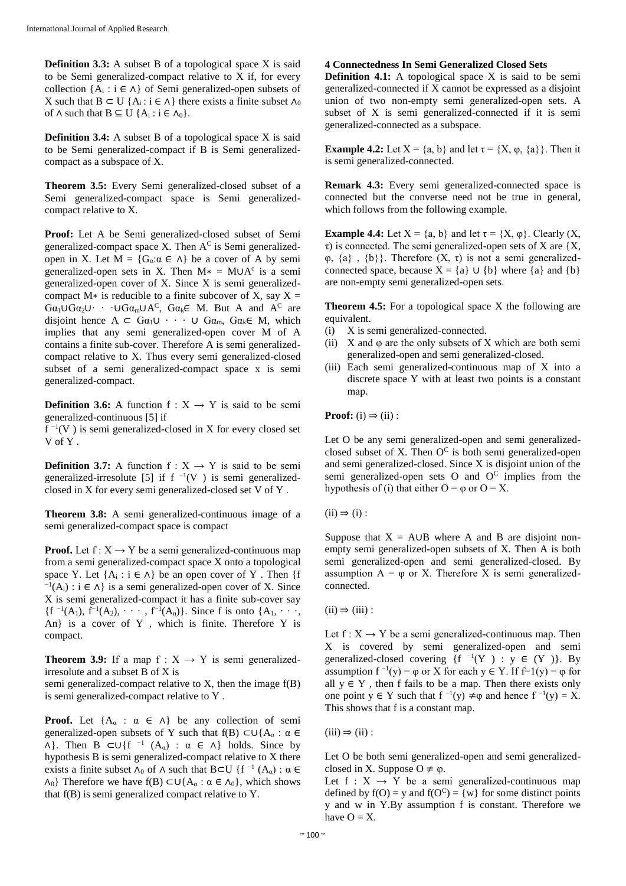**Definition 3.3:** A subset B of a topological space X is said to be Semi generalized-compact relative to X if, for every collection  ${A_i : i \in \Lambda}$  of Semi generalized-open subsets of X such that B ⊂ U {A<sub>i</sub>: i ∈  $\wedge$ } there exists a finite subset  $\wedge_0$ of  $\land$  such that  $B \subseteq U \{A_i : i \in \Lambda_0\}.$ 

**Definition 3.4:** A subset B of a topological space X is said to be Semi generalized-compact if B is Semi generalizedcompact as a subspace of X.

**Theorem 3.5:** Every Semi generalized-closed subset of a Semi generalized-compact space is Semi generalizedcompact relative to X.

Proof: Let A be Semi generalized-closed subset of Semi generalized-compact space X. Then  $A^C$  is Semi generalizedopen in X. Let  $M = \{G_{\alpha} : \alpha \in \Lambda\}$  be a cover of A by semi generalized-open sets in X. Then  $M* = M \cup A^c$  is a semi generalized-open cover of X. Since X is semi generalizedcompact M $*$  is reducible to a finite subcover of X, say X =  $Ga_1 \cup Ga_2 \cup \cdots \cup Ga_m \cup A^C$ ,  $Ga_k \in M$ . But A and A<sup>C</sup> are disjoint hence  $A \subset G\alpha_1 \cup \cdots \cup G\alpha_m$ ,  $G\alpha_k \in M$ , which implies that any semi generalized-open cover M of A contains a finite sub-cover. Therefore A is semi generalizedcompact relative to X. Thus every semi generalized-closed subset of a semi generalized-compact space x is semi generalized-compact.

**Definition 3.6:** A function  $f : X \rightarrow Y$  is said to be semi generalized-continuous [5] if

 $f^{-1}(V)$  is semi generalized-closed in X for every closed set V of Y .

**Definition 3.7:** A function  $f: X \rightarrow Y$  is said to be semi generalized-irresolute [5] if  $f^{-1}(V)$  is semi generalizedclosed in X for every semi generalized-closed set V of Y .

**Theorem 3.8:** A semi generalized-continuous image of a semi generalized-compact space is compact

**Proof.** Let  $f: X \rightarrow Y$  be a semi generalized-continuous map from a semi generalized-compact space X onto a topological space Y. Let  ${A_i : i \in \Lambda}$  be an open cover of Y. Then {f  $^{-1}(A_i)$ : i ∈  $\Lambda$ } is a semi generalized-open cover of X. Since X is semi generalized-compact it has a finite sub-cover say  ${f^{-1}(A_1), f^{-1}(A_2), \cdots, f^{-1}(A_n)}$ . Since f is onto  ${A_1, \cdots, A_n}$ An} is a cover of Y , which is finite. Therefore Y is compact.

**Theorem 3.9:** If a map  $f : X \rightarrow Y$  is semi generalizedirresolute and a subset B of X is

semi generalized-compact relative to X, then the image f(B) is semi generalized-compact relative to Y .

**Proof.** Let  $\{A_{\alpha} : \alpha \in \Lambda\}$  be any collection of semi generalized-open subsets of Y such that  $f(B) \subset \bigcup \{A_\alpha : \alpha \in$  $\wedge$ }. Then B ⊂∪{f<sup>-1</sup> (A<sub>α</sub>) :  $\alpha \in \wedge$ } holds. Since by hypothesis B is semi generalized-compact relative to X there exists a finite subset  $\Lambda_0$  of  $\Lambda$  such that B⊂U {f<sup>-1</sup> (A<sub>α</sub>) :  $\alpha \in$  $\Lambda_0$ } Therefore we have f(B) ⊂∪{A<sub>α</sub> : α ∈  $\Lambda_0$ }, which shows that f(B) is semi generalized compact relative to Y.

### **4 Connectedness In Semi Generalized Closed Sets**

**Definition 4.1:** A topological space X is said to be semi generalized-connected if X cannot be expressed as a disjoint union of two non-empty semi generalized-open sets. A subset of X is semi generalized-connected if it is semi generalized-connected as a subspace.

**Example 4.2:** Let  $X = \{a, b\}$  and let  $\tau = \{X, \varphi, \{a\}\}\$ . Then it is semi generalized-connected.

**Remark 4.3:** Every semi generalized-connected space is connected but the converse need not be true in general, which follows from the following example.

**Example 4.4:** Let  $X = \{a, b\}$  and let  $\tau = \{X, \varphi\}$ . Clearly  $(X, \varphi)$  $\tau$ ) is connected. The semi generalized-open sets of X are {X,  $\varphi$ ,  $\{a\}$ ,  $\{b\}$ . Therefore  $(X, \tau)$  is not a semi generalizedconnected space, because  $X = \{a\} \cup \{b\}$  where  $\{a\}$  and  $\{b\}$ are non-empty semi generalized-open sets.

**Theorem 4.5:** For a topological space X the following are equivalent.

- (i) X is semi generalized-connected.
- (ii) X and  $\varphi$  are the only subsets of X which are both semi generalized-open and semi generalized-closed.
- (iii) Each semi generalized-continuous map of X into a discrete space Y with at least two points is a constant map.

**Proof:**  $(i) \Rightarrow (ii)$ :

Let O be any semi generalized-open and semi generalizedclosed subset of X. Then  $O^C$  is both semi generalized-open and semi generalized-closed. Since X is disjoint union of the semi generalized-open sets  $O$  and  $O^C$  implies from the hypothesis of (i) that either  $O = \varphi$  or  $O = X$ .

 $(ii) \Rightarrow (i)$ :

Suppose that  $X = A \cup B$  where A and B are disjoint nonempty semi generalized-open subsets of X. Then A is both semi generalized-open and semi generalized-closed. By assumption  $A = \varphi$  or X. Therefore X is semi generalizedconnected.

 $(ii) \Rightarrow (iii)$ :

Let  $f: X \rightarrow Y$  be a semi generalized-continuous map. Then X is covered by semi generalized-open and semi generalized-closed covering  $\{f^{-1}(Y) : y \in (Y)\}\$ . By assumption  $f^{-1}(y) = \varphi$  or X for each  $y \in Y$ . If  $f^{-1}(y) = \varphi$  for all  $y \in Y$ , then f fails to be a map. Then there exists only one point  $y \in Y$  such that  $f^{-1}(y) \neq \varphi$  and hence  $f^{-1}(y) = X$ . This shows that f is a constant map.

 $(iii) \Rightarrow (ii)$ :

Let O be both semi generalized-open and semi generalizedclosed in X. Suppose  $O \neq \varphi$ .

Let  $f : X \rightarrow Y$  be a semi generalized-continuous map defined by  $f(O) = y$  and  $f(O<sup>C</sup>) = \{w\}$  for some distinct points y and w in Y.By assumption f is constant. Therefore we have  $O = X$ .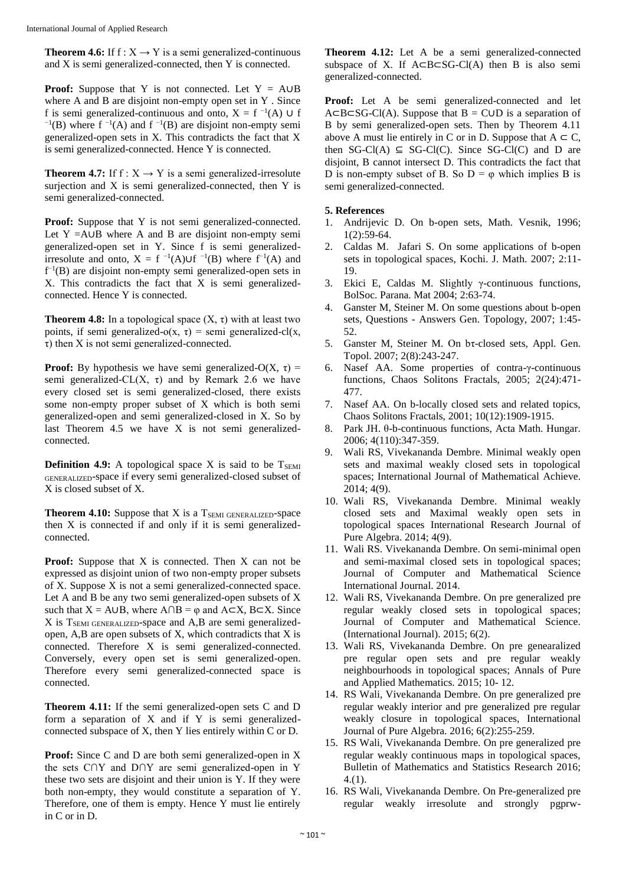**Theorem 4.6:** If  $f : X \rightarrow Y$  is a semi generalized-continuous and X is semi generalized-connected, then Y is connected.

**Proof:** Suppose that Y is not connected. Let  $Y = A \cup B$ where A and B are disjoint non-empty open set in Y . Since f is semi generalized-continuous and onto,  $X = f^{-1}(A) \cup f$  $^{-1}(B)$  where f  $^{-1}(A)$  and f  $^{-1}(B)$  are disjoint non-empty semi generalized-open sets in X. This contradicts the fact that X is semi generalized-connected. Hence Y is connected.

**Theorem 4.7:** If  $f : X \rightarrow Y$  is a semi generalized-irresolute surjection and X is semi generalized-connected, then Y is semi generalized-connected.

Proof: Suppose that Y is not semi generalized-connected. Let Y = $A \cup B$  where A and B are disjoint non-empty semi generalized-open set in Y. Since f is semi generalizedirresolute and onto,  $X = f^{-1}(A) \cup f^{-1}(B)$  where  $f^{-1}(A)$  and  $f^{-1}(B)$  are disjoint non-empty semi generalized-open sets in X. This contradicts the fact that X is semi generalizedconnected. Hence Y is connected.

**Theorem 4.8:** In a topological space  $(X, \tau)$  with at least two points, if semi generalized-o(x,  $\tau$ ) = semi generalized-cl(x, τ) then X is not semi generalized-connected.

**Proof:** By hypothesis we have semi generalized-O(X,  $\tau$ ) = semi generalized-CL(X,  $\tau$ ) and by Remark 2.6 we have every closed set is semi generalized-closed, there exists some non-empty proper subset of X which is both semi generalized-open and semi generalized-closed in X. So by last Theorem 4.5 we have X is not semi generalizedconnected.

**Definition 4.9:** A topological space X is said to be T<sub>SEMI</sub> GENERALIZED-space if every semi generalized-closed subset of X is closed subset of X.

**Theorem 4.10:** Suppose that X is a  $T_{SEM}$  GENERALIZED-Space then X is connected if and only if it is semi generalizedconnected.

**Proof:** Suppose that X is connected. Then X can not be expressed as disjoint union of two non-empty proper subsets of X. Suppose X is not a semi generalized-connected space. Let A and B be any two semi generalized-open subsets of X such that  $X = A \cup B$ , where  $A \cap B = \varphi$  and  $A \subset X$ ,  $B \subset X$ . Since  $X$  is  $T_{SEM}$  GENERALIZED-Space and A,B are semi generalizedopen, A,B are open subsets of X, which contradicts that X is connected. Therefore X is semi generalized-connected. Conversely, every open set is semi generalized-open. Therefore every semi generalized-connected space is connected.

**Theorem 4.11:** If the semi generalized-open sets C and D form a separation of X and if Y is semi generalizedconnected subspace of X, then Y lies entirely within C or D.

**Proof:** Since C and D are both semi generalized-open in X the sets C∩Y and D∩Y are semi generalized-open in Y these two sets are disjoint and their union is Y. If they were both non-empty, they would constitute a separation of Y. Therefore, one of them is empty. Hence Y must lie entirely in C or in D.

**Theorem 4.12:** Let A be a semi generalized-connected subspace of X. If A⊂B⊂SG-Cl(A) then B is also semi generalized-connected.

Proof: Let A be semi generalized-connected and let  $A \subseteq B \subseteq SG$ -Cl(A). Suppose that  $B = C \cup D$  is a separation of B by semi generalized-open sets. Then by Theorem 4.11 above A must lie entirely in C or in D. Suppose that  $A \subset C$ , then  $SG-Cl(A) \subseteq SG-Cl(C)$ . Since  $SG-Cl(C)$  and D are disjoint, B cannot intersect D. This contradicts the fact that D is non-empty subset of B. So  $D = \varphi$  which implies B is semi generalized-connected.

#### **5. References**

- 1. Andrijevic D. On b-open sets, Math. Vesnik, 1996; 1(2):59-64.
- 2. Caldas M. Jafari S. On some applications of b-open sets in topological spaces, Kochi. J. Math. 2007; 2:11- 19.
- 3. Ekici E, Caldas M. Slightly γ-continuous functions, BolSoc. Parana. Mat 2004; 2:63-74.
- 4. Ganster M, Steiner M. On some questions about b-open sets, Questions - Answers Gen. Topology, 2007; 1:45- 52.
- 5. Ganster M, Steiner M. On bτ-closed sets, Appl. Gen. Topol. 2007; 2(8):243-247.
- 6. Nasef AA. Some properties of contra-γ-continuous functions, Chaos Solitons Fractals, 2005; 2(24):471- 477.
- 7. Nasef AA. On b-locally closed sets and related topics, Chaos Solitons Fractals, 2001; 10(12):1909-1915.
- 8. Park JH. θ-b-continuous functions, Acta Math. Hungar. 2006; 4(110):347-359.
- 9. Wali RS, Vivekananda Dembre. Minimal weakly open sets and maximal weakly closed sets in topological spaces; International Journal of Mathematical Achieve. 2014; 4(9).
- 10. Wali RS, Vivekananda Dembre. Minimal weakly closed sets and Maximal weakly open sets in topological spaces International Research Journal of Pure Algebra. 2014; 4(9).
- 11. Wali RS. Vivekananda Dembre. On semi-minimal open and semi-maximal closed sets in topological spaces; Journal of Computer and Mathematical Science International Journal. 2014.
- 12. Wali RS, Vivekananda Dembre. On pre generalized pre regular weakly closed sets in topological spaces; Journal of Computer and Mathematical Science. (International Journal). 2015; 6(2).
- 13. Wali RS, Vivekananda Dembre. On pre genearalized pre regular open sets and pre regular weakly neighbourhoods in topological spaces; Annals of Pure and Applied Mathematics. 2015; 10- 12.
- 14. RS Wali, Vivekananda Dembre. On pre generalized pre regular weakly interior and pre generalized pre regular weakly closure in topological spaces, International Journal of Pure Algebra. 2016; 6(2):255-259.
- 15. RS Wali, Vivekananda Dembre. On pre generalized pre regular weakly continuous maps in topological spaces, Bulletin of Mathematics and Statistics Research 2016;  $4(1)$ .
- 16. RS Wali, Vivekananda Dembre. On Pre-generalized pre regular weakly irresolute and strongly pgprw-